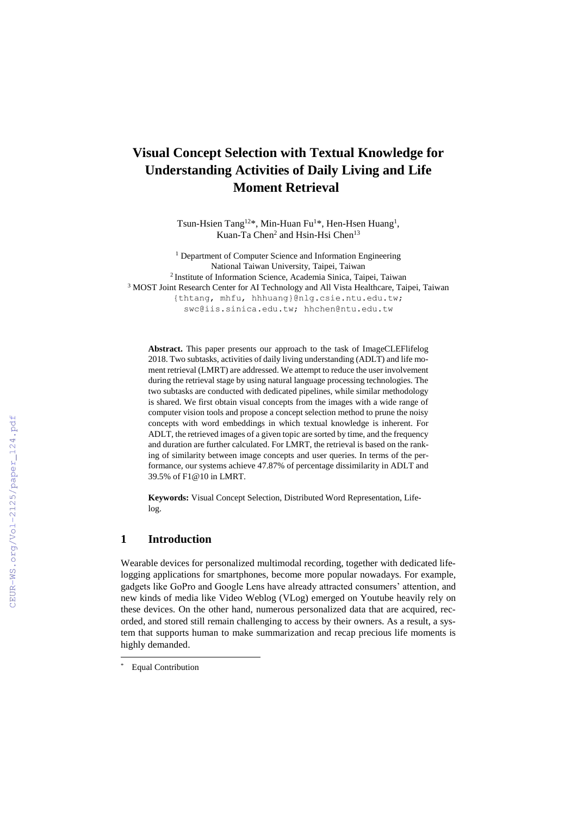# **Visual Concept Selection with Textual Knowledge for Understanding Activities of Daily Living and Life Moment Retrieval\***

Tsun-Hsien Tang<sup>12\*</sup>, Min-Huan Fu<sup>1\*</sup>, Hen-Hsen Huang<sup>1</sup>, Kuan-Ta Chen<sup>2</sup> and Hsin-Hsi Chen<sup>13</sup>

<sup>1</sup> Department of Computer Science and Information Engineering National Taiwan University, Taipei, Taiwan 2 Institute of Information Science, Academia Sinica, Taipei, Taiwan <sup>3</sup> MOST Joint Research Center for AI Technology and All Vista Healthcare, Taipei, Taiwan {thtang, mhfu, hhhuang}@nlg.csie.ntu.edu.tw; [swc@iis.sinica.edu.tw;](mailto:swc@iis.sinica.edu.tw) hhchen@ntu.edu.tw

**Abstract.** This paper presents our approach to the task of ImageCLEFlifelog 2018. Two subtasks, activities of daily living understanding (ADLT) and life moment retrieval (LMRT) are addressed. We attempt to reduce the user involvement during the retrieval stage by using natural language processing technologies. The two subtasks are conducted with dedicated pipelines, while similar methodology is shared. We first obtain visual concepts from the images with a wide range of computer vision tools and propose a concept selection method to prune the noisy concepts with word embeddings in which textual knowledge is inherent. For ADLT, the retrieved images of a given topic are sorted by time, and the frequency and duration are further calculated. For LMRT, the retrieval is based on the ranking of similarity between image concepts and user queries. In terms of the performance, our systems achieve 47.87% of percentage dissimilarity in ADLT and 39.5% of F1@10 in LMRT.

**Keywords:** Visual Concept Selection, Distributed Word Representation, Lifelog.

# **1 Introduction**

Wearable devices for personalized multimodal recording, together with dedicated lifelogging applications for smartphones, become more popular nowadays. For example, gadgets like GoPro and Google Lens have already attracted consumers' attention, and new kinds of media like Video Weblog (VLog) emerged on Youtube heavily rely on these devices. On the other hand, numerous personalized data that are acquired, recorded, and stored still remain challenging to access by their owners. As a result, a system that supports human to make summarization and recap precious life moments is highly demanded.

 $\overline{a}$ 

**Equal Contribution**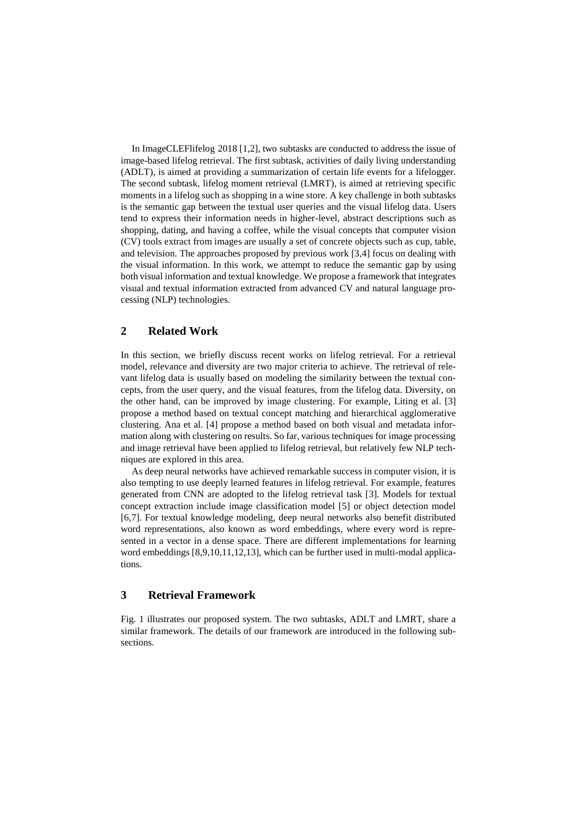In ImageCLEFlifelog 2018 [1,2], two subtasks are conducted to address the issue of image-based lifelog retrieval. The first subtask, activities of daily living understanding (ADLT), is aimed at providing a summarization of certain life events for a lifelogger. The second subtask, lifelog moment retrieval (LMRT), is aimed at retrieving specific moments in a lifelog such as shopping in a wine store. A key challenge in both subtasks is the semantic gap between the textual user queries and the visual lifelog data. Users tend to express their information needs in higher-level, abstract descriptions such as shopping, dating, and having a coffee, while the visual concepts that computer vision (CV) tools extract from images are usually a set of concrete objects such as cup, table, and television. The approaches proposed by previous work [3,4] focus on dealing with the visual information. In this work, we attempt to reduce the semantic gap by using both visual information and textual knowledge. We propose a framework that integrates visual and textual information extracted from advanced CV and natural language processing (NLP) technologies.

## **2 Related Work**

In this section, we briefly discuss recent works on lifelog retrieval. For a retrieval model, relevance and diversity are two major criteria to achieve. The retrieval of relevant lifelog data is usually based on modeling the similarity between the textual concepts, from the user query, and the visual features, from the lifelog data. Diversity, on the other hand, can be improved by image clustering. For example, Liting et al. [3] propose a method based on textual concept matching and hierarchical agglomerative clustering. Ana et al. [4] propose a method based on both visual and metadata information along with clustering on results. So far, various techniques for image processing and image retrieval have been applied to lifelog retrieval, but relatively few NLP techniques are explored in this area.

As deep neural networks have achieved remarkable success in computer vision, it is also tempting to use deeply learned features in lifelog retrieval. For example, features generated from CNN are adopted to the lifelog retrieval task [3]. Models for textual concept extraction include image classification model [5] or object detection model [6,7]. For textual knowledge modeling, deep neural networks also benefit distributed word representations, also known as word embeddings, where every word is represented in a vector in a dense space. There are different implementations for learning word embeddings [8,9,10,11,12,13], which can be further used in multi-modal applications.

## **3 Retrieval Framework**

Fig. 1 illustrates our proposed system. The two subtasks, ADLT and LMRT, share a similar framework. The details of our framework are introduced in the following subsections.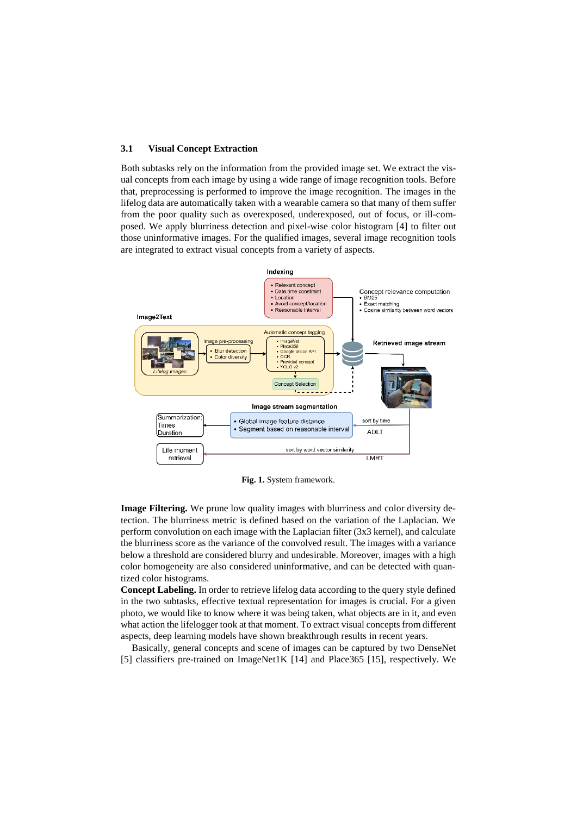#### **3.1 Visual Concept Extraction**

Both subtasks rely on the information from the provided image set. We extract the visual concepts from each image by using a wide range of image recognition tools. Before that, preprocessing is performed to improve the image recognition. The images in the lifelog data are automatically taken with a wearable camera so that many of them suffer from the poor quality such as overexposed, underexposed, out of focus, or ill-composed. We apply blurriness detection and pixel-wise color histogram [4] to filter out those uninformative images. For the qualified images, several image recognition tools are integrated to extract visual concepts from a variety of aspects.



**Fig. 1.** System framework.

**Image Filtering.** We prune low quality images with blurriness and color diversity detection. The blurriness metric is defined based on the variation of the Laplacian. We perform convolution on each image with the Laplacian filter (3x3 kernel), and calculate the blurriness score as the variance of the convolved result. The images with a variance below a threshold are considered blurry and undesirable. Moreover, images with a high color homogeneity are also considered uninformative, and can be detected with quantized color histograms.

**Concept Labeling.** In order to retrieve lifelog data according to the query style defined in the two subtasks, effective textual representation for images is crucial. For a given photo, we would like to know where it was being taken, what objects are in it, and even what action the lifelogger took at that moment. To extract visual concepts from different aspects, deep learning models have shown breakthrough results in recent years.

Basically, general concepts and scene of images can be captured by two DenseNet [5] classifiers pre-trained on ImageNet1K [14] and Place365 [15], respectively. We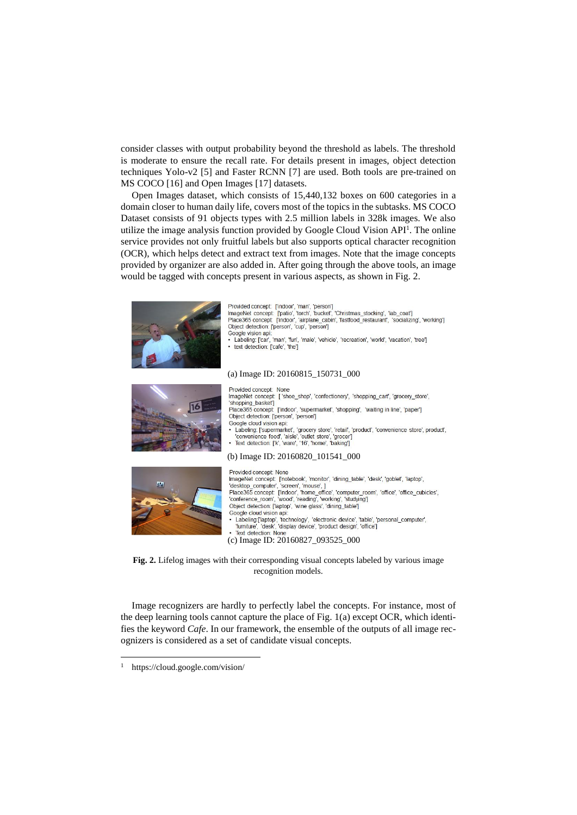consider classes with output probability beyond the threshold as labels. The threshold is moderate to ensure the recall rate. For details present in images, object detection techniques Yolo-v2 [5] and Faster RCNN [7] are used. Both tools are pre-trained on MS COCO [16] and Open Images [17] datasets.

Open Images dataset, which consists of 15,440,132 boxes on 600 categories in a domain closer to human daily life, covers most of the topics in the subtasks. MS COCO Dataset consists of 91 objects types with 2.5 million labels in 328k images. We also utilize the image analysis function provided by Google Cloud Vision API<sup>1</sup>. The online service provides not only fruitful labels but also supports optical character recognition (OCR), which helps detect and extract text from images. Note that the image concepts provided by organizer are also added in. After going through the above tools, an image would be tagged with concepts present in various aspects, as shown in Fig. 2.



**Fig. 2.** Lifelog images with their corresponding visual concepts labeled by various image recognition models.

Image recognizers are hardly to perfectly label the concepts. For instance, most of the deep learning tools cannot capture the place of Fig. 1(a) except OCR, which identifies the keyword *Cafe*. In our framework, the ensemble of the outputs of all image recognizers is considered as a set of candidate visual concepts.

 $\overline{a}$ 

<sup>1</sup> https://cloud.google.com/vision/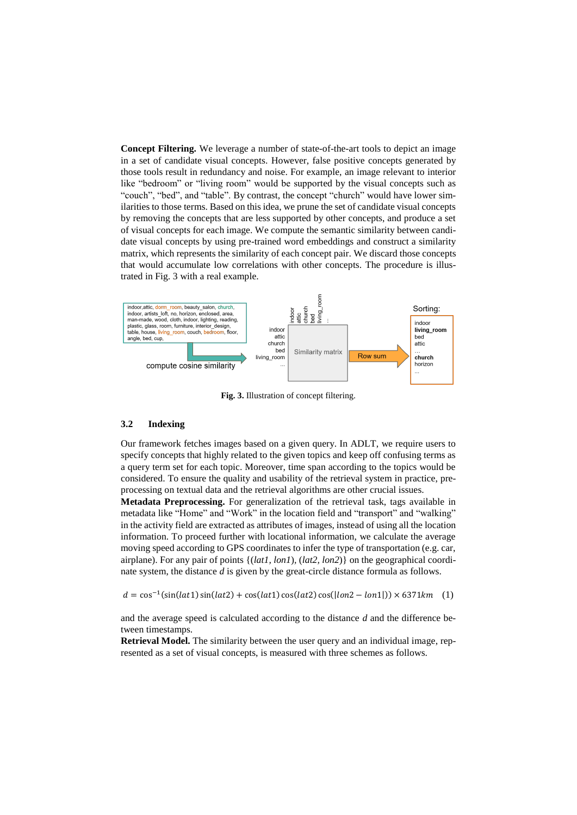**Concept Filtering.** We leverage a number of state-of-the-art tools to depict an image in a set of candidate visual concepts. However, false positive concepts generated by those tools result in redundancy and noise. For example, an image relevant to interior like "bedroom" or "living room" would be supported by the visual concepts such as "couch", "bed", and "table". By contrast, the concept "church" would have lower similarities to those terms. Based on this idea, we prune the set of candidate visual concepts by removing the concepts that are less supported by other concepts, and produce a set of visual concepts for each image. We compute the semantic similarity between candidate visual concepts by using pre-trained word embeddings and construct a similarity matrix, which represents the similarity of each concept pair. We discard those concepts that would accumulate low correlations with other concepts. The procedure is illustrated in Fig. 3 with a real example.



**Fig. 3.** Illustration of concept filtering.

#### **3.2 Indexing**

Our framework fetches images based on a given query. In ADLT, we require users to specify concepts that highly related to the given topics and keep off confusing terms as a query term set for each topic. Moreover, time span according to the topics would be considered. To ensure the quality and usability of the retrieval system in practice, preprocessing on textual data and the retrieval algorithms are other crucial issues.

**Metadata Preprocessing.** For generalization of the retrieval task, tags available in metadata like "Home" and "Work" in the location field and "transport" and "walking" in the activity field are extracted as attributes of images, instead of using all the location information. To proceed further with locational information, we calculate the average moving speed according to GPS coordinates to infer the type of transportation (e.g. car, airplane). For any pair of points {(*lat1, lon1*)*,* (*lat2, lon2*)} on the geographical coordinate system, the distance *d* is given by the great-circle distance formula as follows.

 $d = \cos^{-1}(\sin(lat1) \sin(lat2) + \cos(lat1) \cos(lat2) \cos(lon2 - lon1])) \times 6371 km$  (1)

and the average speed is calculated according to the distance *d* and the difference between timestamps.

**Retrieval Model.** The similarity between the user query and an individual image, represented as a set of visual concepts, is measured with three schemes as follows.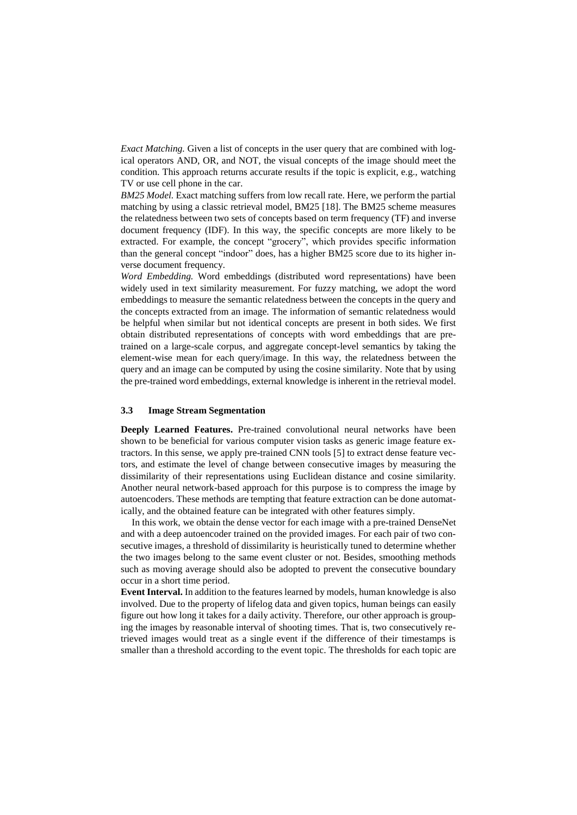*Exact Matching.* Given a list of concepts in the user query that are combined with logical operators AND, OR, and NOT, the visual concepts of the image should meet the condition. This approach returns accurate results if the topic is explicit, e.g., watching TV or use cell phone in the car.

*BM25 Model.* Exact matching suffers from low recall rate. Here, we perform the partial matching by using a classic retrieval model, BM25 [18]. The BM25 scheme measures the relatedness between two sets of concepts based on term frequency (TF) and inverse document frequency (IDF). In this way, the specific concepts are more likely to be extracted. For example, the concept "grocery", which provides specific information than the general concept "indoor" does, has a higher BM25 score due to its higher inverse document frequency.

*Word Embedding.* Word embeddings (distributed word representations) have been widely used in text similarity measurement. For fuzzy matching, we adopt the word embeddings to measure the semantic relatedness between the concepts in the query and the concepts extracted from an image. The information of semantic relatedness would be helpful when similar but not identical concepts are present in both sides. We first obtain distributed representations of concepts with word embeddings that are pretrained on a large-scale corpus, and aggregate concept-level semantics by taking the element-wise mean for each query/image. In this way, the relatedness between the query and an image can be computed by using the cosine similarity. Note that by using the pre-trained word embeddings, external knowledge is inherent in the retrieval model.

#### **3.3 Image Stream Segmentation**

**Deeply Learned Features.** Pre-trained convolutional neural networks have been shown to be beneficial for various computer vision tasks as generic image feature extractors. In this sense, we apply pre-trained CNN tools [5] to extract dense feature vectors, and estimate the level of change between consecutive images by measuring the dissimilarity of their representations using Euclidean distance and cosine similarity. Another neural network-based approach for this purpose is to compress the image by autoencoders. These methods are tempting that feature extraction can be done automatically, and the obtained feature can be integrated with other features simply.

In this work, we obtain the dense vector for each image with a pre-trained DenseNet and with a deep autoencoder trained on the provided images. For each pair of two consecutive images, a threshold of dissimilarity is heuristically tuned to determine whether the two images belong to the same event cluster or not. Besides, smoothing methods such as moving average should also be adopted to prevent the consecutive boundary occur in a short time period.

**Event Interval.** In addition to the features learned by models, human knowledge is also involved. Due to the property of lifelog data and given topics, human beings can easily figure out how long it takes for a daily activity. Therefore, our other approach is grouping the images by reasonable interval of shooting times. That is, two consecutively retrieved images would treat as a single event if the difference of their timestamps is smaller than a threshold according to the event topic. The thresholds for each topic are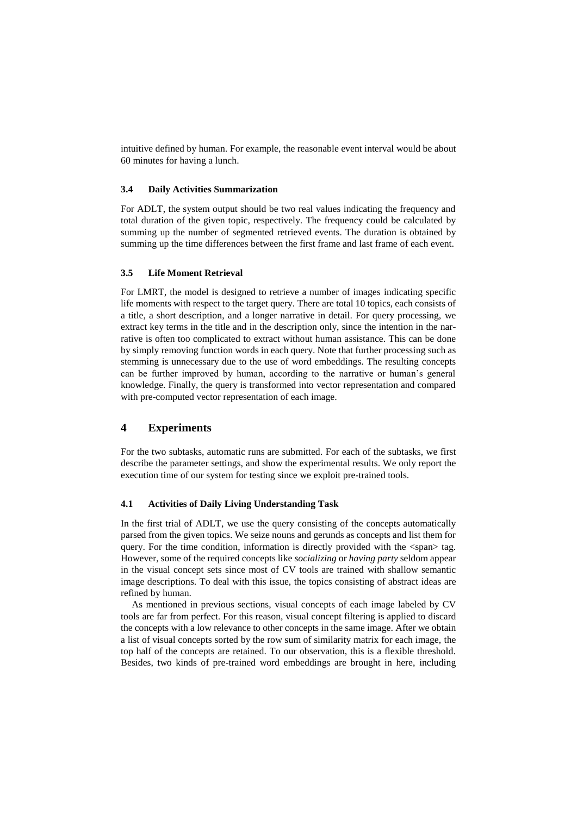intuitive defined by human. For example, the reasonable event interval would be about 60 minutes for having a lunch.

#### **3.4 Daily Activities Summarization**

For ADLT, the system output should be two real values indicating the frequency and total duration of the given topic, respectively. The frequency could be calculated by summing up the number of segmented retrieved events. The duration is obtained by summing up the time differences between the first frame and last frame of each event.

## **3.5 Life Moment Retrieval**

For LMRT, the model is designed to retrieve a number of images indicating specific life moments with respect to the target query. There are total 10 topics, each consists of a title, a short description, and a longer narrative in detail. For query processing, we extract key terms in the title and in the description only, since the intention in the narrative is often too complicated to extract without human assistance. This can be done by simply removing function words in each query. Note that further processing such as stemming is unnecessary due to the use of word embeddings. The resulting concepts can be further improved by human, according to the narrative or human's general knowledge. Finally, the query is transformed into vector representation and compared with pre-computed vector representation of each image.

# **4 Experiments**

For the two subtasks, automatic runs are submitted. For each of the subtasks, we first describe the parameter settings, and show the experimental results. We only report the execution time of our system for testing since we exploit pre-trained tools.

## **4.1 Activities of Daily Living Understanding Task**

In the first trial of ADLT, we use the query consisting of the concepts automatically parsed from the given topics. We seize nouns and gerunds as concepts and list them for query. For the time condition, information is directly provided with the <span> tag. However, some of the required concepts like *socializing* or *having party* seldom appear in the visual concept sets since most of CV tools are trained with shallow semantic image descriptions. To deal with this issue, the topics consisting of abstract ideas are refined by human.

As mentioned in previous sections, visual concepts of each image labeled by CV tools are far from perfect. For this reason, visual concept filtering is applied to discard the concepts with a low relevance to other concepts in the same image. After we obtain a list of visual concepts sorted by the row sum of similarity matrix for each image, the top half of the concepts are retained. To our observation, this is a flexible threshold. Besides, two kinds of pre-trained word embeddings are brought in here, including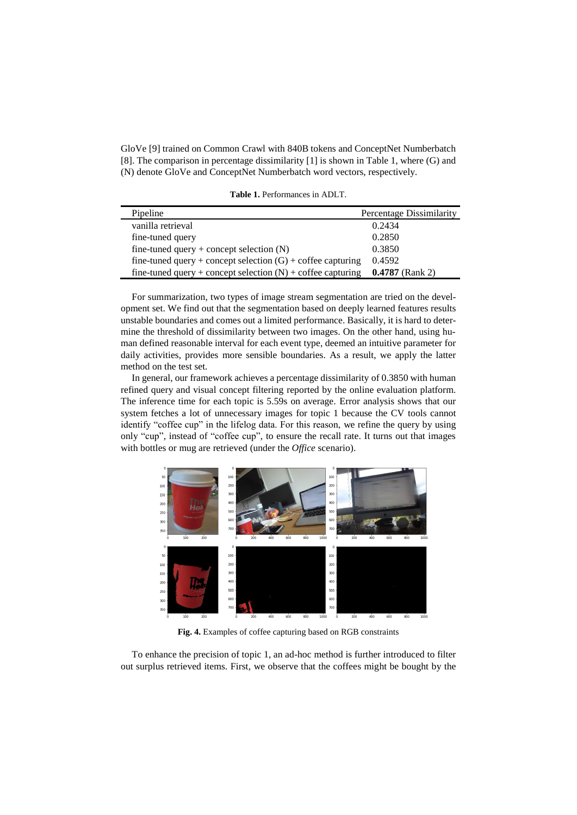GloVe [9] trained on Common Crawl with 840B tokens and ConceptNet Numberbatch [8]. The comparison in percentage dissimilarity [1] is shown in Table 1, where (G) and (N) denote GloVe and ConceptNet Numberbatch word vectors, respectively.

**Table 1.** Performances in ADLT.

| Pipeline                                                      | Percentage Dissimilarity |
|---------------------------------------------------------------|--------------------------|
| vanilla retrieval                                             | 0.2434                   |
| fine-tuned query                                              | 0.2850                   |
| fine-tuned query + concept selection $(N)$                    | 0.3850                   |
| fine-tuned query + concept selection $(G)$ + coffee capturing | 0.4592                   |
| fine-tuned query + concept selection $(N)$ + coffee capturing | $0.4787$ (Rank 2)        |

For summarization, two types of image stream segmentation are tried on the development set. We find out that the segmentation based on deeply learned features results unstable boundaries and comes out a limited performance. Basically, it is hard to determine the threshold of dissimilarity between two images. On the other hand, using human defined reasonable interval for each event type, deemed an intuitive parameter for daily activities, provides more sensible boundaries. As a result, we apply the latter method on the test set.

In general, our framework achieves a percentage dissimilarity of 0.3850 with human refined query and visual concept filtering reported by the online evaluation platform. The inference time for each topic is 5.59s on average. Error analysis shows that our system fetches a lot of unnecessary images for topic 1 because the CV tools cannot identify "coffee cup" in the lifelog data. For this reason, we refine the query by using only "cup", instead of "coffee cup", to ensure the recall rate. It turns out that images with bottles or mug are retrieved (under the *Office* scenario).



**Fig. 4.** Examples of coffee capturing based on RGB constraints

To enhance the precision of topic 1, an ad-hoc method is further introduced to filter out surplus retrieved items. First, we observe that the coffees might be bought by the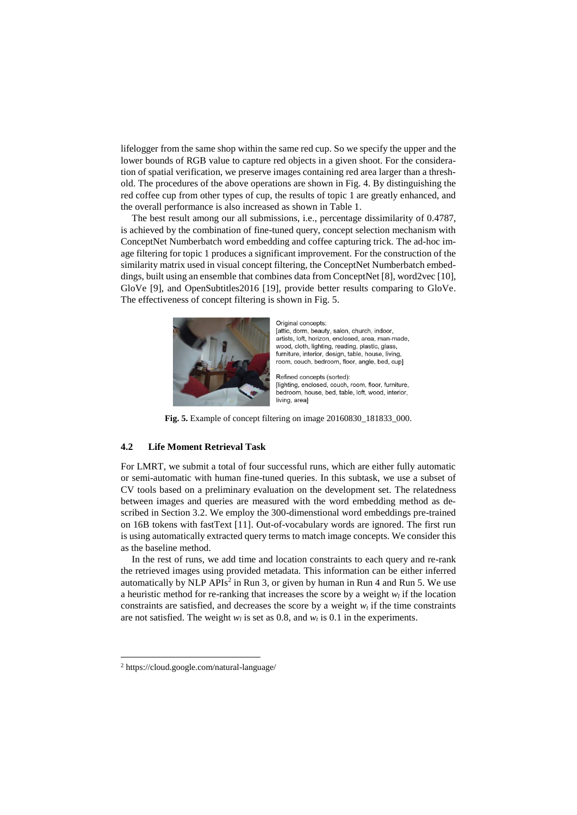lifelogger from the same shop within the same red cup. So we specify the upper and the lower bounds of RGB value to capture red objects in a given shoot. For the consideration of spatial verification, we preserve images containing red area larger than a threshold. The procedures of the above operations are shown in Fig. 4. By distinguishing the red coffee cup from other types of cup, the results of topic 1 are greatly enhanced, and the overall performance is also increased as shown in Table 1.

The best result among our all submissions, i.e., percentage dissimilarity of 0.4787, is achieved by the combination of fine-tuned query, concept selection mechanism with ConceptNet Numberbatch word embedding and coffee capturing trick. The ad-hoc image filtering for topic 1 produces a significant improvement. For the construction of the similarity matrix used in visual concept filtering, the ConceptNet Numberbatch embeddings, built using an ensemble that combines data from ConceptNet [8], word2vec [10], GloVe [9], and OpenSubtitles2016 [19], provide better results comparing to GloVe. The effectiveness of concept filtering is shown in Fig. 5.



Original concepts:

[attic, dorm, beauty, salon, church, indoor, artists, loft, horizon, enclosed, area, man-made, wood, cloth, lighting, reading, plastic, glass, furniture, interior, design, table, house, living, room, couch, bedroom, floor, angle, bed, cup]

Refined concepts (sorted): [lighting, enclosed, couch, room, floor, furniture, bedroom, house, bed, table, loft, wood, interior, living, areal

**Fig. 5.** Example of concept filtering on image 20160830\_181833\_000.

#### **4.2 Life Moment Retrieval Task**

For LMRT, we submit a total of four successful runs, which are either fully automatic or semi-automatic with human fine-tuned queries. In this subtask, we use a subset of CV tools based on a preliminary evaluation on the development set. The relatedness between images and queries are measured with the word embedding method as described in Section 3.2. We employ the 300-dimenstional word embeddings pre-trained on 16B tokens with fastText [11]. Out-of-vocabulary words are ignored. The first run is using automatically extracted query terms to match image concepts. We consider this as the baseline method.

In the rest of runs, we add time and location constraints to each query and re-rank the retrieved images using provided metadata. This information can be either inferred automatically by NLP APIs<sup>2</sup> in Run 3, or given by human in Run 4 and Run 5. We use a heuristic method for re-ranking that increases the score by a weight  $w_l$  if the location constraints are satisfied, and decreases the score by a weight  $w<sub>t</sub>$  if the time constraints are not satisfied. The weight  $w_l$  is set as 0.8, and  $w_t$  is 0.1 in the experiments.

 $\overline{a}$ 

<sup>2</sup> https://cloud.google.com/natural-language/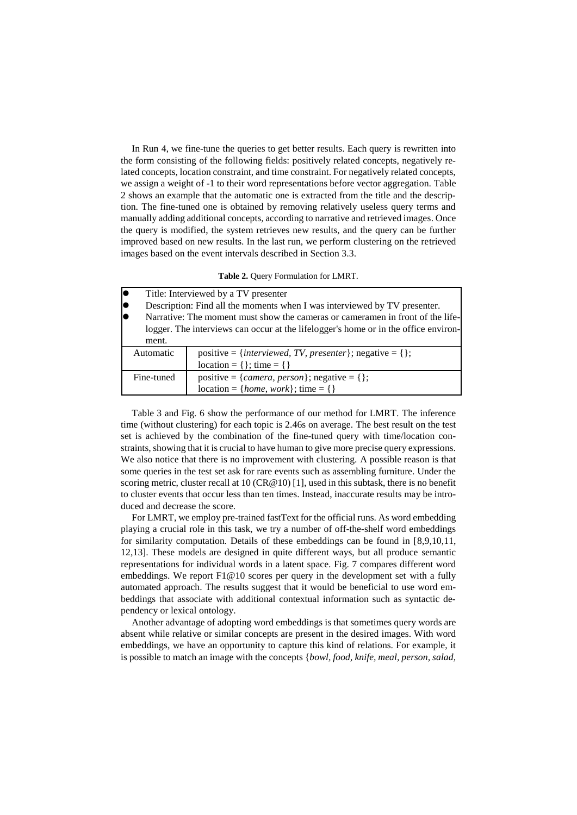In Run 4, we fine-tune the queries to get better results. Each query is rewritten into the form consisting of the following fields: positively related concepts, negatively related concepts, location constraint, and time constraint. For negatively related concepts, we assign a weight of -1 to their word representations before vector aggregation. Table 2 shows an example that the automatic one is extracted from the title and the description. The fine-tuned one is obtained by removing relatively useless query terms and manually adding additional concepts, according to narrative and retrieved images. Once the query is modified, the system retrieves new results, and the query can be further improved based on new results. In the last run, we perform clustering on the retrieved images based on the event intervals described in Section 3.3.

| Title: Interviewed by a TV presenter                                                |                                                                  |  |  |  |
|-------------------------------------------------------------------------------------|------------------------------------------------------------------|--|--|--|
| Description: Find all the moments when I was interviewed by TV presenter.           |                                                                  |  |  |  |
| Narrative: The moment must show the cameras or cameramen in front of the life-      |                                                                  |  |  |  |
| logger. The interviews can occur at the lifelogger's home or in the office environ- |                                                                  |  |  |  |
| ment.                                                                               |                                                                  |  |  |  |
| Automatic                                                                           | positive = { <i>interviewed, TV, presenter</i> }; negative = {}; |  |  |  |
|                                                                                     | $location = \{\}; time = \{\}$                                   |  |  |  |
| Fine-tuned                                                                          | positive = { <i>camera, person</i> }; negative = {};             |  |  |  |
|                                                                                     | $location = \{home, work\}; time = \{\}$                         |  |  |  |

**Table 2.** Query Formulation for LMRT.

Table 3 and Fig. 6 show the performance of our method for LMRT. The inference time (without clustering) for each topic is 2.46s on average. The best result on the test set is achieved by the combination of the fine-tuned query with time/location constraints, showing that it is crucial to have human to give more precise query expressions. We also notice that there is no improvement with clustering. A possible reason is that some queries in the test set ask for rare events such as assembling furniture. Under the scoring metric, cluster recall at  $10 \text{ (CR} @ 10)$  [1], used in this subtask, there is no benefit to cluster events that occur less than ten times. Instead, inaccurate results may be introduced and decrease the score.

For LMRT, we employ pre-trained fastText for the official runs. As word embedding playing a crucial role in this task, we try a number of off-the-shelf word embeddings for similarity computation. Details of these embeddings can be found in [8,9,10,11, 12,13]. These models are designed in quite different ways, but all produce semantic representations for individual words in a latent space. Fig. 7 compares different word embeddings. We report F1@10 scores per query in the development set with a fully automated approach. The results suggest that it would be beneficial to use word embeddings that associate with additional contextual information such as syntactic dependency or lexical ontology.

Another advantage of adopting word embeddings is that sometimes query words are absent while relative or similar concepts are present in the desired images. With word embeddings, we have an opportunity to capture this kind of relations. For example, it is possible to match an image with the concepts {*bowl, food, knife, meal, person, salad,*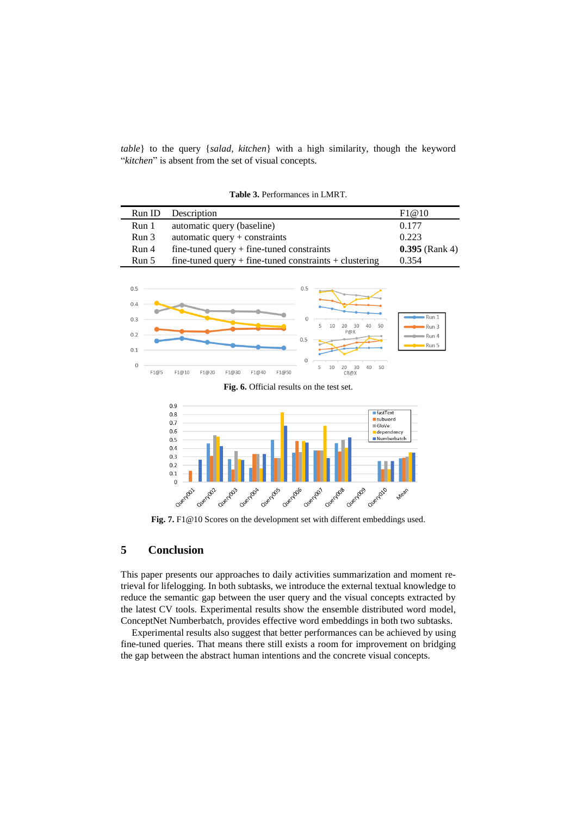*table*} to the query {*salad, kitchen*} with a high similarity, though the keyword "*kitchen*" is absent from the set of visual concepts.

| Run ID | Description                                                | F1@10            |
|--------|------------------------------------------------------------|------------------|
| Run 1  | automatic query (baseline)                                 | 0.177            |
| Run 3  | automatic query $+$ constraints                            | 0.223            |
| Run 4  | $fine$ -tuned query + fine-tuned constraints               | $0.395$ (Rank 4) |
| Run 5  | fine-tuned query $+$ fine-tuned constraints $+$ clustering | 0.354            |

**Table 3.** Performances in LMRT.



**Fig. 6.** Official results on the test set.



Fig. 7. F1@10 Scores on the development set with different embeddings used.

# **5 Conclusion**

This paper presents our approaches to daily activities summarization and moment retrieval for lifelogging. In both subtasks, we introduce the external textual knowledge to reduce the semantic gap between the user query and the visual concepts extracted by the latest CV tools. Experimental results show the ensemble distributed word model, ConceptNet Numberbatch, provides effective word embeddings in both two subtasks.

Experimental results also suggest that better performances can be achieved by using fine-tuned queries. That means there still exists a room for improvement on bridging the gap between the abstract human intentions and the concrete visual concepts.